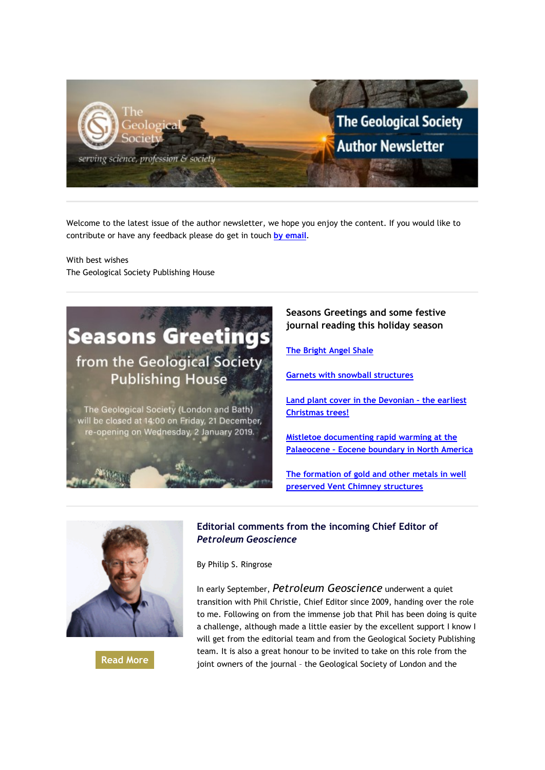

Welcome to the latest issue of the author newsletter, we hope you enjoy the content. If you would like to contribute or have any feedback please do get in touch **[by email](mailto:marketing@geolsoc.org.uk?subject=Author%20Newsletter)**.

With best wishes The Geological Society Publishing House



The Geological Society (London and Bath) will be closed at 14:00 on Friday, 21 December, re-opening on Wednesday, 2 January 2019.

**Seasons Greetings and some festive journal reading this holiday season**

**[The Bright Angel Shale](https://emea01.safelinks.protection.outlook.com/?url=http%3A%2F%2Fgeologicalsociety.msgfocus.com%2Fc%2F1hXhcwl4b86Iqwa44q5&data=02%7C01%7Clucy.pullen%40geolsoc.org.uk%7Cf901483f2d8c422ce79208d69714691c%7C8793af0570194bd4bcbe1895301e92f9%7C0%7C0%7C636862511259614170&sdata=cNEXE81hCUeUQE572RzOha3mNaAznZAbqh4AFvBZqXY%3D&reserved=0)**

**[Garnets with snowball structures](https://emea01.safelinks.protection.outlook.com/?url=http%3A%2F%2Fgeologicalsociety.msgfocus.com%2Fc%2F1hXhlfZRy2ta8bS5nQ0&data=02%7C01%7Clucy.pullen%40geolsoc.org.uk%7Cf901483f2d8c422ce79208d69714691c%7C8793af0570194bd4bcbe1895301e92f9%7C0%7C0%7C636862511259614170&sdata=dFkWihp31eX1EjO5RtLOhtFwfLo1QPBdyzwrNji8z%2BU%3D&reserved=0)**

**[Land plant cover in the Devonian –](https://emea01.safelinks.protection.outlook.com/?url=http%3A%2F%2Fgeologicalsociety.msgfocus.com%2Fc%2F1hXhCJjshRc3xxi80FQ&data=02%7C01%7Clucy.pullen%40geolsoc.org.uk%7Cf901483f2d8c422ce79208d69714691c%7C8793af0570194bd4bcbe1895301e92f9%7C0%7C0%7C636862511259624175&sdata=nOZpckE7M%2BJcRjVN6eyjI1XRHgXpcobOMPshlmaSeYc%3D&reserved=0) the earliest [Christmas trees!](https://emea01.safelinks.protection.outlook.com/?url=http%3A%2F%2Fgeologicalsociety.msgfocus.com%2Fc%2F1hXhCJjshRc3xxi80FQ&data=02%7C01%7Clucy.pullen%40geolsoc.org.uk%7Cf901483f2d8c422ce79208d69714691c%7C8793af0570194bd4bcbe1895301e92f9%7C0%7C0%7C636862511259624175&sdata=nOZpckE7M%2BJcRjVN6eyjI1XRHgXpcobOMPshlmaSeYc%3D&reserved=0)**

**[Mistletoe documenting](https://emea01.safelinks.protection.outlook.com/?url=http%3A%2F%2Fgeologicalsociety.msgfocus.com%2Fc%2F1hXhLsYfELyvfd09k5L&data=02%7C01%7Clucy.pullen%40geolsoc.org.uk%7Cf901483f2d8c422ce79208d69714691c%7C8793af0570194bd4bcbe1895301e92f9%7C0%7C0%7C636862511259634184&sdata=IgTXIYPeoW5dWfnSkxOPL6yH9LKyEneK0UdnzWyMeIE%3D&reserved=0) rapid warming at the Palaeocene – [Eocene boundary in North America](https://emea01.safelinks.protection.outlook.com/?url=http%3A%2F%2Fgeologicalsociety.msgfocus.com%2Fc%2F1hXhLsYfELyvfd09k5L&data=02%7C01%7Clucy.pullen%40geolsoc.org.uk%7Cf901483f2d8c422ce79208d69714691c%7C8793af0570194bd4bcbe1895301e92f9%7C0%7C0%7C636862511259634184&sdata=IgTXIYPeoW5dWfnSkxOPL6yH9LKyEneK0UdnzWyMeIE%3D&reserved=0)**

**[The formation of gold and other metals in well](https://emea01.safelinks.protection.outlook.com/?url=http%3A%2F%2Fgeologicalsociety.msgfocus.com%2Fc%2F1hXhUcD31FUWWSIaDvG&data=02%7C01%7Clucy.pullen%40geolsoc.org.uk%7Cf901483f2d8c422ce79208d69714691c%7C8793af0570194bd4bcbe1895301e92f9%7C0%7C0%7C636862511259634184&sdata=8J9ZgrLRyLPSwpFz4FHSNIqc78PNBy9b0yqbYDXO8fw%3D&reserved=0)  [preserved Vent Chimney structures](https://emea01.safelinks.protection.outlook.com/?url=http%3A%2F%2Fgeologicalsociety.msgfocus.com%2Fc%2F1hXhUcD31FUWWSIaDvG&data=02%7C01%7Clucy.pullen%40geolsoc.org.uk%7Cf901483f2d8c422ce79208d69714691c%7C8793af0570194bd4bcbe1895301e92f9%7C0%7C0%7C636862511259634184&sdata=8J9ZgrLRyLPSwpFz4FHSNIqc78PNBy9b0yqbYDXO8fw%3D&reserved=0)**



**[Read More](https://emea01.safelinks.protection.outlook.com/?url=http%3A%2F%2Fgeologicalsociety.msgfocus.com%2Fc%2F1hXibFWDLuDQme8dglw&data=02%7C01%7Clucy.pullen%40geolsoc.org.uk%7Cf901483f2d8c422ce79208d69714691c%7C8793af0570194bd4bcbe1895301e92f9%7C0%7C0%7C636862511259644197&sdata=F7ORjZOZ50JjDafCComZPeUPk%2BTMivi3iSOLfj16yd0%3D&reserved=0)**

## **Editorial comments from the incoming Chief Editor of**  *Petroleum Geoscience*

By Philip S. Ringrose

In early September, *Petroleum Geoscience* underwent a quiet transition with Phil Christie, Chief Editor since 2009, handing over the role to me. Following on from the immense job that Phil has been doing is quite a challenge, although made a little easier by the excellent support I know I will get from the editorial team and from the Geological Society Publishing team. It is also a great honour to be invited to take on this role from the joint owners of the journal – the Geological Society of London and the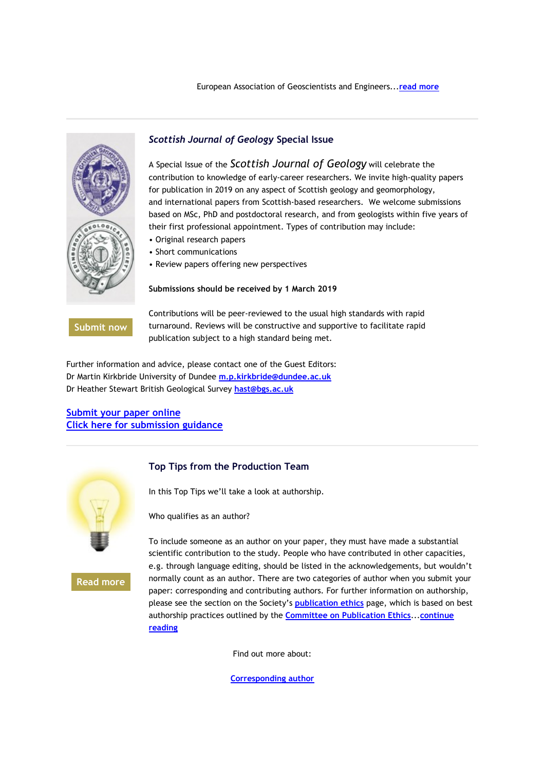

### *Scottish Journal of Geology* **Special Issue**

A Special Issue of the *Scottish Journal of Geology* will celebrate the contribution to knowledge of early-career researchers. We invite high-quality papers for publication in 2019 on any aspect of Scottish geology and geomorphology, and international papers from Scottish-based researchers. We welcome submissions based on MSc, PhD and postdoctoral research, and from geologists within five years of their first professional appointment. Types of contribution may include:

- Original research papers
- Short communications
- Review papers offering new perspectives

#### **Submissions should be received by 1 March 2019**

**[Submit now](https://emea01.safelinks.protection.outlook.com/?url=http%3A%2F%2Fgeologicalsociety.msgfocus.com%2Fc%2F1hXiBSV1SdJbtfghcBh&data=02%7C01%7Clucy.pullen%40geolsoc.org.uk%7Cf901483f2d8c422ce79208d69714691c%7C8793af0570194bd4bcbe1895301e92f9%7C0%7C0%7C636862511259664207&sdata=kOIgxH4fPMBgk%2BKnJY4x%2BsfnNrXTggRkyh6HtroVTJw%3D&reserved=0)**

Contributions will be peer-reviewed to the usual high standards with rapid turnaround. Reviews will be constructive and supportive to facilitate rapid publication subject to a high standard being met.

Further information and advice, please contact one of the Guest Editors: Dr Martin Kirkbride University of Dundee **[m.p.kirkbride@dundee.ac.uk](mailto:m.p.kirkbride@dundee.ac.uk)** Dr Heather Stewart British Geological Survey **[hast@bgs.ac.uk](mailto:hast@bgs.ac.uk)**

### **[Submit your paper online](https://emea01.safelinks.protection.outlook.com/?url=http%3A%2F%2Fgeologicalsociety.msgfocus.com%2Fc%2F1hXiKCzPf85DaUYiw1c&data=02%7C01%7Clucy.pullen%40geolsoc.org.uk%7Cf901483f2d8c422ce79208d69714691c%7C8793af0570194bd4bcbe1895301e92f9%7C0%7C0%7C636862511259664207&sdata=oaoGzf3S6qeV2AxsZ8Wcn%2BL8njuxfsWhd3mXuQJgAHs%3D&reserved=0) [Click here for submission guidance](https://emea01.safelinks.protection.outlook.com/?url=http%3A%2F%2Fgeologicalsociety.msgfocus.com%2Fc%2F1hXiTmeCC2s4SAGjPr7&data=02%7C01%7Clucy.pullen%40geolsoc.org.uk%7Cf901483f2d8c422ce79208d69714691c%7C8793af0570194bd4bcbe1895301e92f9%7C0%7C0%7C636862511259674216&sdata=EUz9mQTRAKOEcSdvu1dcUP5D2c6iIqqCLBIDqUTPoas%3D&reserved=0)**



#### **Top Tips from the Production Team**

In this Top Tips we'll take a look at authorship.

Who qualifies as an author?

**[Read more](https://emea01.safelinks.protection.outlook.com/?url=http%3A%2F%2Fgeologicalsociety.msgfocus.com%2Fc%2F1hXjjzd0ILxpZBOnLGS&data=02%7C01%7Clucy.pullen%40geolsoc.org.uk%7Cf901483f2d8c422ce79208d69714691c%7C8793af0570194bd4bcbe1895301e92f9%7C0%7C0%7C636862511259684212&sdata=wsv%2B9yDdZCW9f7bOVHUhDR6tZy1GZfitXFGvvVzEYXU%3D&reserved=0)**

To include someone as an author on your paper, they must have made a substantial scientific contribution to the study. People who have contributed in other capacities, e.g. through language editing, should be listed in the acknowledgements, but wouldn't normally count as an author. There are two categories of author when you submit your paper: corresponding and contributing authors. For further information on authorship, please see the section on the Society's **[publication ethics](https://emea01.safelinks.protection.outlook.com/?url=http%3A%2F%2Fgeologicalsociety.msgfocus.com%2Fc%2F1hXjsiRO5FTRHhwp56N&data=02%7C01%7Clucy.pullen%40geolsoc.org.uk%7Cf901483f2d8c422ce79208d69714691c%7C8793af0570194bd4bcbe1895301e92f9%7C0%7C0%7C636862511259684212&sdata=Zcn9snEeJWSw0PpIdyRtBUXzuEkGvU4WOeTZ0WzLBkg%3D&reserved=0)** page, which is based on best authorship practices outlined by the **[Committee on Publication Ethics](https://emea01.safelinks.protection.outlook.com/?url=http%3A%2F%2Fgeologicalsociety.msgfocus.com%2Fc%2F1hXjB2wBsAgjoXeqowI&data=02%7C01%7Clucy.pullen%40geolsoc.org.uk%7Cf901483f2d8c422ce79208d69714691c%7C8793af0570194bd4bcbe1895301e92f9%7C0%7C0%7C636862511259694226&sdata=geRhhyoQqbJdqdpnMRHf678BDqx%2BJbVTX5eIbzk2wIc%3D&reserved=0)**...**[continue](https://emea01.safelinks.protection.outlook.com/?url=http%3A%2F%2Fgeologicalsociety.msgfocus.com%2Fc%2F1hXjJMboPuCL6CWrHWD&data=02%7C01%7Clucy.pullen%40geolsoc.org.uk%7Cf901483f2d8c422ce79208d69714691c%7C8793af0570194bd4bcbe1895301e92f9%7C0%7C0%7C636862511259694226&sdata=LyoGZ1MopxpELGV%2FOiF7d2%2BC54ubFcYadvh7Efgv7aY%3D&reserved=0)  [reading](https://emea01.safelinks.protection.outlook.com/?url=http%3A%2F%2Fgeologicalsociety.msgfocus.com%2Fc%2F1hXjJMboPuCL6CWrHWD&data=02%7C01%7Clucy.pullen%40geolsoc.org.uk%7Cf901483f2d8c422ce79208d69714691c%7C8793af0570194bd4bcbe1895301e92f9%7C0%7C0%7C636862511259694226&sdata=LyoGZ1MopxpELGV%2FOiF7d2%2BC54ubFcYadvh7Efgv7aY%3D&reserved=0)**

Find out more about:

**[Corresponding author](https://emea01.safelinks.protection.outlook.com/?url=http%3A%2F%2Fgeologicalsociety.msgfocus.com%2Fc%2F1hXjSvQccoZcOiEt1my&data=02%7C01%7Clucy.pullen%40geolsoc.org.uk%7Cf901483f2d8c422ce79208d69714691c%7C8793af0570194bd4bcbe1895301e92f9%7C0%7C0%7C636862511259704230&sdata=aRguKqXvwzrFKcD99U8P1ndFWvhe76U%2BZyWoQkOKxfk%3D&reserved=0)**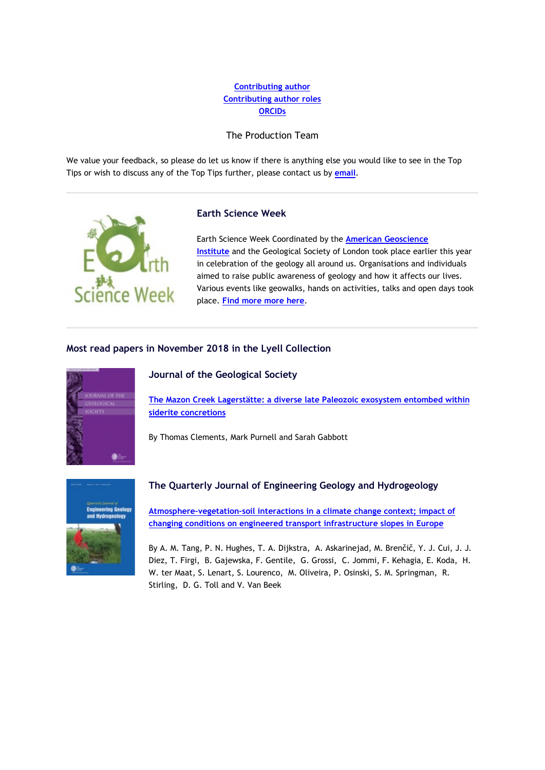## **[Contributing author](https://emea01.safelinks.protection.outlook.com/?url=http%3A%2F%2Fgeologicalsociety.msgfocus.com%2Fc%2F1hXjSvQccoZcOiEt1my&data=02%7C01%7Clucy.pullen%40geolsoc.org.uk%7Cf901483f2d8c422ce79208d69714691c%7C8793af0570194bd4bcbe1895301e92f9%7C0%7C0%7C636862511259704230&sdata=aRguKqXvwzrFKcD99U8P1ndFWvhe76U%2BZyWoQkOKxfk%3D&reserved=0) [Contributing author roles](https://emea01.safelinks.protection.outlook.com/?url=http%3A%2F%2Fgeologicalsociety.msgfocus.com%2Fc%2F1hXjSvQccoZcOiEt1my&data=02%7C01%7Clucy.pullen%40geolsoc.org.uk%7Cf901483f2d8c422ce79208d69714691c%7C8793af0570194bd4bcbe1895301e92f9%7C0%7C0%7C636862511259704230&sdata=aRguKqXvwzrFKcD99U8P1ndFWvhe76U%2BZyWoQkOKxfk%3D&reserved=0) [ORCIDs](https://emea01.safelinks.protection.outlook.com/?url=http%3A%2F%2Fgeologicalsociety.msgfocus.com%2Fc%2F1hXjSvQccoZcOiEt1my&data=02%7C01%7Clucy.pullen%40geolsoc.org.uk%7Cf901483f2d8c422ce79208d69714691c%7C8793af0570194bd4bcbe1895301e92f9%7C0%7C0%7C636862511259704230&sdata=aRguKqXvwzrFKcD99U8P1ndFWvhe76U%2BZyWoQkOKxfk%3D&reserved=0)**

### The Production Team

We value your feedback, so please do let us know if there is anything else you would like to see in the Top Tips or wish to discuss any of the Top Tips further, please contact us by **[email](mailto:jenny.blythe@geolsoc.org.uk?subject=Feedback%3A%20Top%20Tips)**.



#### **Earth Science Week**

Earth Science Week Coordinated by the **[American Geoscience](https://emea01.safelinks.protection.outlook.com/?url=http%3A%2F%2Fgeologicalsociety.msgfocus.com%2Fc%2F1hXk9Z9MWdI6dE4vEco&data=02%7C01%7Clucy.pullen%40geolsoc.org.uk%7Cf901483f2d8c422ce79208d69714691c%7C8793af0570194bd4bcbe1895301e92f9%7C0%7C0%7C636862511259714240&sdata=zjQ6jwS335CFWmbP6rC04D5u%2FIUlNEni26eotUujbrU%3D&reserved=0)  [Institute](https://emea01.safelinks.protection.outlook.com/?url=http%3A%2F%2Fgeologicalsociety.msgfocus.com%2Fc%2F1hXk9Z9MWdI6dE4vEco&data=02%7C01%7Clucy.pullen%40geolsoc.org.uk%7Cf901483f2d8c422ce79208d69714691c%7C8793af0570194bd4bcbe1895301e92f9%7C0%7C0%7C636862511259714240&sdata=zjQ6jwS335CFWmbP6rC04D5u%2FIUlNEni26eotUujbrU%3D&reserved=0)** and the Geological Society of London took place earlier this year in celebration of the geology all around us. Organisations and individuals aimed to raise public awareness of geology and how it affects our lives. Various events like geowalks, hands on activities, talks and open days took place. **[Find more more here](https://emea01.safelinks.protection.outlook.com/?url=http%3A%2F%2Fgeologicalsociety.msgfocus.com%2Fc%2F1hXkiIOAj84xVjMwXCj&data=02%7C01%7Clucy.pullen%40geolsoc.org.uk%7Cf901483f2d8c422ce79208d69714691c%7C8793af0570194bd4bcbe1895301e92f9%7C0%7C0%7C636862511259714240&sdata=VF11h5aTm%2BaUb9mLiC%2FLB9iTzya3IWQ8LMa85TEQrQM%3D&reserved=0)**.

### **Most read papers in November 2018 in the Lyell Collection**



#### **Journal of the Geological Society**

**[The Mazon Creek Lagerstätte: a diverse late Paleozoic exosystem entombed within](https://emea01.safelinks.protection.outlook.com/?url=http%3A%2F%2Fgeologicalsociety.msgfocus.com%2Fc%2F1hXkIVMYpR9T2kUATS4&data=02%7C01%7Clucy.pullen%40geolsoc.org.uk%7Cf901483f2d8c422ce79208d69714691c%7C8793af0570194bd4bcbe1895301e92f9%7C0%7C0%7C636862511259724240&sdata=ZAtFkBEMS28CW5E0AY%2Fcn4DblCA%2F2K6Yj%2B5nYHMxghA%3D&reserved=0)  [siderite concretions](https://emea01.safelinks.protection.outlook.com/?url=http%3A%2F%2Fgeologicalsociety.msgfocus.com%2Fc%2F1hXkIVMYpR9T2kUATS4&data=02%7C01%7Clucy.pullen%40geolsoc.org.uk%7Cf901483f2d8c422ce79208d69714691c%7C8793af0570194bd4bcbe1895301e92f9%7C0%7C0%7C636862511259724240&sdata=ZAtFkBEMS28CW5E0AY%2Fcn4DblCA%2F2K6Yj%2B5nYHMxghA%3D&reserved=0)**

By Thomas Clements, Mark Purnell and Sarah Gabbott



### **The Quarterly Journal of Engineering Geology and Hydrogeology**

**[Atmosphere–vegetation–soil interactions in a climate change context; impact of](https://emea01.safelinks.protection.outlook.com/?url=http%3A%2F%2Fgeologicalsociety.msgfocus.com%2Fc%2F1hXl0p6z9FSMrGkDwHU&data=02%7C01%7Clucy.pullen%40geolsoc.org.uk%7Cf901483f2d8c422ce79208d69714691c%7C8793af0570194bd4bcbe1895301e92f9%7C0%7C0%7C636862511259734254&sdata=wi%2BedVrtASwvRNYdsqvVsTlnOTXKJvJ3f%2BmBZtjuDng%3D&reserved=0)  [changing conditions on engineered transport infrastructure slopes in Europe](https://emea01.safelinks.protection.outlook.com/?url=http%3A%2F%2Fgeologicalsociety.msgfocus.com%2Fc%2F1hXl0p6z9FSMrGkDwHU&data=02%7C01%7Clucy.pullen%40geolsoc.org.uk%7Cf901483f2d8c422ce79208d69714691c%7C8793af0570194bd4bcbe1895301e92f9%7C0%7C0%7C636862511259734254&sdata=wi%2BedVrtASwvRNYdsqvVsTlnOTXKJvJ3f%2BmBZtjuDng%3D&reserved=0)**

By A. M. Tang, P. N. Hughes, T. A. Dijkstra, A. Askarinejad, M. Brenčič, Y. J. Cui, J. J. Diez, T. Firgi, B. Gajewska, F. Gentile, G. Grossi, C. Jommi, F. Kehagia, E. Koda, H. W. ter Maat, S. Lenart, S. Lourenco, M. Oliveira, P. Osinski, S. M. Springman, R. Stirling, D. G. Toll and V. Van Beek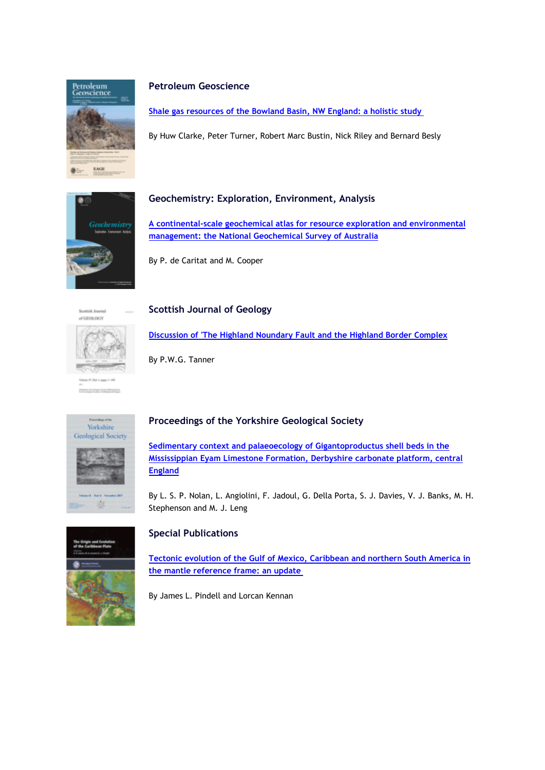

#### **Petroleum Geoscience**

**[Shale gas resources of the Bowland Basin, NW England: a holistic study](https://emea01.safelinks.protection.outlook.com/?url=http%3A%2F%2Fgeologicalsociety.msgfocus.com%2Fc%2F1hXlhSq9TuBFR1KG9xK&data=02%7C01%7Clucy.pullen%40geolsoc.org.uk%7Cf901483f2d8c422ce79208d69714691c%7C8793af0570194bd4bcbe1895301e92f9%7C0%7C0%7C636862511259744254&sdata=pAp%2F3W8fSxFMZ5pC%2BzIh8vXl6Uhm4ND9%2BpoFvfbmU5s%3D&reserved=0)**

By Huw Clarke, Peter Turner, Robert Marc Bustin, Nick Riley and Bernard Besly



## **Geochemistry: Exploration, Environment, Analysis**

**[A continental-scale geochemical atlas for resource exploration and environmental](https://emea01.safelinks.protection.outlook.com/?url=http%3A%2F%2Fgeologicalsociety.msgfocus.com%2Fc%2F1hXlI5oy0dH0Y2SK5Nv&data=02%7C01%7Clucy.pullen%40geolsoc.org.uk%7Cf901483f2d8c422ce79208d69714691c%7C8793af0570194bd4bcbe1895301e92f9%7C0%7C0%7C636862511259764272&sdata=ISHTUJcKEV2Lwfyurw1tmF14CvWBY5GmteE2kzrsQb0%3D&reserved=0)  [management: the National Geochemical Survey of Australia](https://emea01.safelinks.protection.outlook.com/?url=http%3A%2F%2Fgeologicalsociety.msgfocus.com%2Fc%2F1hXlI5oy0dH0Y2SK5Nv&data=02%7C01%7Clucy.pullen%40geolsoc.org.uk%7Cf901483f2d8c422ce79208d69714691c%7C8793af0570194bd4bcbe1895301e92f9%7C0%7C0%7C636862511259764272&sdata=ISHTUJcKEV2Lwfyurw1tmF14CvWBY5GmteE2kzrsQb0%3D&reserved=0)**

By P. de Caritat and M. Cooper



### **Scottish Journal of Geology**

**[Discussion of 'The Highland Noundary Fault and the Highland Border Complex](https://emea01.safelinks.protection.outlook.com/?url=http%3A%2F%2Fgeologicalsociety.msgfocus.com%2Fc%2F1hXlZyI8K2pUnoiMIDl&data=02%7C01%7Clucy.pullen%40geolsoc.org.uk%7Cf901483f2d8c422ce79208d69714691c%7C8793af0570194bd4bcbe1895301e92f9%7C0%7C0%7C636862511259774277&sdata=vZV2cx%2Bsml9FkujbyP9pEmABlIiG5yTOeseYvzpp2iw%3D&reserved=0)**

By P.W.G. Tanner



# **Proceedings of the Yorkshire Geological Society**

**[Sedimentary context and palaeoecology of Gigantoproductus shell beds in the](https://emea01.safelinks.protection.outlook.com/?url=http%3A%2F%2Fgeologicalsociety.msgfocus.com%2Fc%2F1hXmpLGwQLvfupqQET6&data=02%7C01%7Clucy.pullen%40geolsoc.org.uk%7Cf901483f2d8c422ce79208d69714691c%7C8793af0570194bd4bcbe1895301e92f9%7C0%7C0%7C636862511259784286&sdata=7BA1YhqN2yAv5lHaLGPS4lneh8mbGbWz0DDQERzzGQo%3D&reserved=0)  [Mississippian Eyam Limestone Formation, Derbyshire carbonate platform, central](https://emea01.safelinks.protection.outlook.com/?url=http%3A%2F%2Fgeologicalsociety.msgfocus.com%2Fc%2F1hXmpLGwQLvfupqQET6&data=02%7C01%7Clucy.pullen%40geolsoc.org.uk%7Cf901483f2d8c422ce79208d69714691c%7C8793af0570194bd4bcbe1895301e92f9%7C0%7C0%7C636862511259784286&sdata=7BA1YhqN2yAv5lHaLGPS4lneh8mbGbWz0DDQERzzGQo%3D&reserved=0)  [England](https://emea01.safelinks.protection.outlook.com/?url=http%3A%2F%2Fgeologicalsociety.msgfocus.com%2Fc%2F1hXmpLGwQLvfupqQET6&data=02%7C01%7Clucy.pullen%40geolsoc.org.uk%7Cf901483f2d8c422ce79208d69714691c%7C8793af0570194bd4bcbe1895301e92f9%7C0%7C0%7C636862511259784286&sdata=7BA1YhqN2yAv5lHaLGPS4lneh8mbGbWz0DDQERzzGQo%3D&reserved=0)**

By L. S. P. Nolan, L. Angiolini, F. Jadoul, G. Della Porta, S. J. Davies, V. J. Banks, M. H. Stephenson and M. J. Leng

## **Special Publications**

**[Tectonic evolution of the Gulf of Mexico, Caribbean and northern South America in](https://emea01.safelinks.protection.outlook.com/?url=http%3A%2F%2Fgeologicalsociety.msgfocus.com%2Fc%2F1hXmHf07AAe8TKQThIW&data=02%7C01%7Clucy.pullen%40geolsoc.org.uk%7Cf901483f2d8c422ce79208d69714691c%7C8793af0570194bd4bcbe1895301e92f9%7C0%7C0%7C636862511259794296&sdata=aJlOM9Q8sv5Ow%2F8AtpfzXSjk1PeKrDGrCroN1GQtWWM%3D&reserved=0)  [the mantle reference frame: an update](https://emea01.safelinks.protection.outlook.com/?url=http%3A%2F%2Fgeologicalsociety.msgfocus.com%2Fc%2F1hXmHf07AAe8TKQThIW&data=02%7C01%7Clucy.pullen%40geolsoc.org.uk%7Cf901483f2d8c422ce79208d69714691c%7C8793af0570194bd4bcbe1895301e92f9%7C0%7C0%7C636862511259794296&sdata=aJlOM9Q8sv5Ow%2F8AtpfzXSjk1PeKrDGrCroN1GQtWWM%3D&reserved=0)**

By James L. Pindell and Lorcan Kennan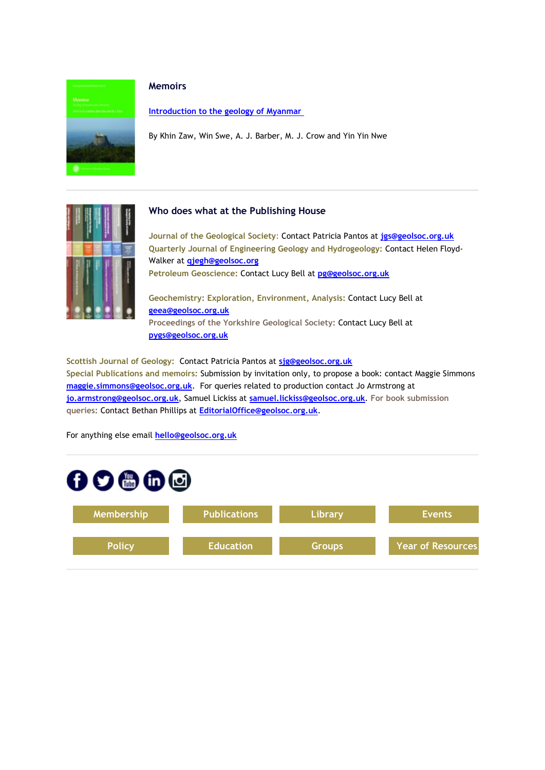

#### **Memoirs**

**[Introduction to the geology of Myanmar](https://emea01.safelinks.protection.outlook.com/?url=http%3A%2F%2Fgeologicalsociety.msgfocus.com%2Fc%2F1hXmYIjIkoX2j6gVUyM&data=02%7C01%7Clucy.pullen%40geolsoc.org.uk%7Cf901483f2d8c422ce79208d69714691c%7C8793af0570194bd4bcbe1895301e92f9%7C0%7C0%7C636862511259804300&sdata=wYpi%2FwFJ3SX%2F1D7Efsbl3bcNTlGKBeuYjW1xueE%2FMIg%3D&reserved=0)**

By Khin Zaw, Win Swe, A. J. Barber, M. J. Crow and Yin Yin Nwe



### **Who does what at the Publishing House**

**Journal of the Geological Society**: Contact Patricia Pantos at **[jgs@geolsoc.org.uk](mailto:jgs@geolsoc.org.uk) Quarterly Journal of Engineering Geology and Hydrogeology:** Contact Helen Floyd-Walker at **[qjegh@geolsoc.org](mailto:qjegh@geolsoc.org) Petroleum Geoscience:** Contact Lucy Bell at **[pg@geolsoc.org.uk](mailto:pg@geolsoc.org.uk)**

**Geochemistry: Exploration, Environment, Analysis:** Contact Lucy Bell at **[geea@geolsoc.org.uk](mailto:geea@geolsoc.org)**

**Proceedings of the Yorkshire Geological Society:** Contact Lucy Bell at **[pygs@geolsoc.org.uk](mailto:pygs@geolsoc.org.uk)**

**Scottish Journal of Geology:** Contact Patricia Pantos at **[sjg@geolsoc.org.uk](mailto:sjg@geolsoc.org.uk) Special Publications and memoirs:** Submission by invitation only, to propose a book: contact Maggie Simmons **[maggie.simmons@geolsoc.org.uk](mailto:maggie.simmons@geolsoc.org.uk)**. For queries related to production contact Jo Armstrong at **[jo.armstrong@geolsoc.org.uk](https://emea01.safelinks.protection.outlook.com/?url=http%3A%2F%2Fgeologicalsociety.msgfocus.com%2Fc%2F1hXn7rYvHjju0LYXdYH&data=02%7C01%7Clucy.pullen%40geolsoc.org.uk%7Cf901483f2d8c422ce79208d69714691c%7C8793af0570194bd4bcbe1895301e92f9%7C0%7C0%7C636862511259814305&sdata=EwMydbQMWCaord9EXqMzfLlwv1Tc059MyRtjcq26pAU%3D&reserved=0)**, Samuel Lickiss at **[samuel.lickiss@geolsoc.org.uk](mailto:samuel.lickiss@geolsoc.org.uk)**. **For book submission queries:** Contact Bethan Phillips at **[EditorialOffice@geolsoc.org.uk](mailto:EditorialOffice@geolsoc.org.uk)**.

For anything else email **[hello@geolsoc.org.uk](mailto:hello@geolsoc.org.uk)**